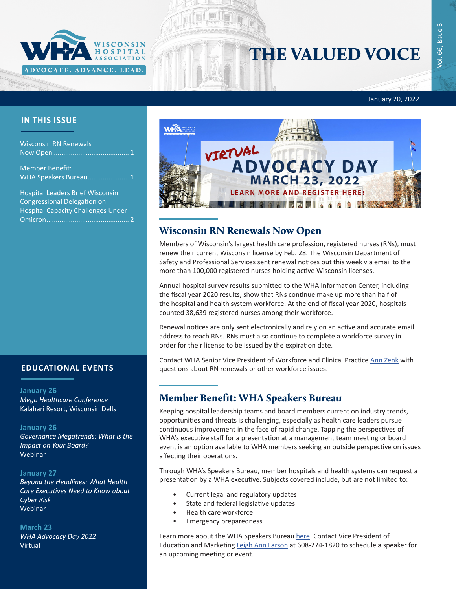

# THE VALUED VOICE

January 20, 2022

### **IN THIS ISSUE**

| <b>Wisconsin RN Renewals</b> |  |
|------------------------------|--|
|                              |  |

Member Benefit: WHA Speakers Bureau...................... 1

[Hospital Leaders Brief Wisconsin](#page-1-0)  [Congressional Delegation on](#page-1-0)  [Hospital Capacity Challenges Under](#page-1-0)  [Omicron............................................](#page-1-0) 2

## **EDUCATIONAL EVENTS**

#### **January 26**

*[Mega Healthcare Conference](http://www.megawisconsin.com/)* Kalahari Resort, Wisconsin Dells

#### **January 26**

*[Governance Megatrends: What is the](https://www.wha.org/Governance-Trends)  [Impact on Your Board?](https://www.wha.org/Governance-Trends)* Webinar

#### **January 27**

*[Beyond the Headlines: What Health](https://www.wha.org/AboutWHA/CalendarofEvents/Webinar-Online-Education/Cyber-Risk)  [Care Executives Need to Know about](https://www.wha.org/AboutWHA/CalendarofEvents/Webinar-Online-Education/Cyber-Risk)  [Cyber Risk](https://www.wha.org/AboutWHA/CalendarofEvents/Webinar-Online-Education/Cyber-Risk)* Webinar

#### **March 23**

*[WHA Advocacy Day 2022](https://www.wha.org/AboutWHA/CalendarofEvents/Conference/AD-2022-(1))* Virtual



## Wisconsin RN Renewals Now Open

Members of Wisconsin's largest health care profession, registered nurses (RNs), must renew their current Wisconsin license by Feb. 28. The Wisconsin Department of Safety and Professional Services sent renewal notices out this week via email to the more than 100,000 registered nurses holding active Wisconsin licenses.

Annual hospital survey results submitted to the WHA Information Center, including the fiscal year 2020 results, show that RNs continue make up more than half of the hospital and health system workforce. At the end of fiscal year 2020, hospitals counted 38,639 registered nurses among their workforce.

Renewal notices are only sent electronically and rely on an active and accurate email address to reach RNs. RNs must also continue to complete a workforce survey in order for their license to be issued by the expiration date.

Contact WHA Senior Vice President of Workforce and Clinical Practice [Ann Zenk](mailto:azenk@wha.org) with questions about RN renewals or other workforce issues.

# Member Benefit: WHA Speakers Bureau

Keeping hospital leadership teams and board members current on industry trends, opportunities and threats is challenging, especially as health care leaders pursue continuous improvement in the face of rapid change. Tapping the perspectives of WHA's executive staff for a presentation at a management team meeting or board event is an option available to WHA members seeking an outside perspective on issues affecting their operations.

Through WHA's Speakers Bureau, member hospitals and health systems can request a presentation by a WHA executive. Subjects covered include, but are not limited to:

- Current legal and regulatory updates
- State and federal legislative updates
- Health care workforce
- Emergency preparedness

Learn more about the WHA Speakers Bureau [here](http://www.wha.org/Home/Common-PDFs/SpeakersBureauFlyer.pdf). Contact Vice President of Education and Marketing [Leigh Ann Larson](mailto:llarson@wha.org) at 608-274-1820 to schedule a speaker for an upcoming meeting or event.